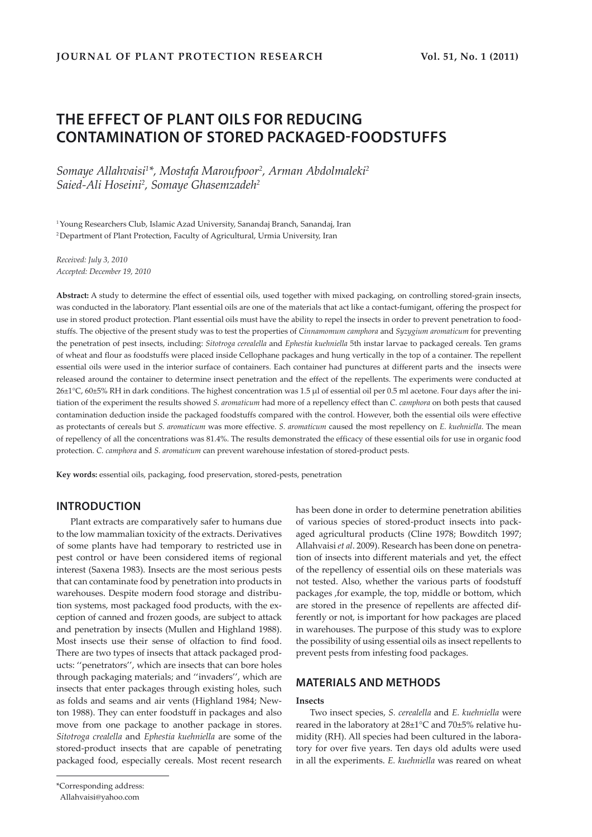# **THE EFFECT OF PLANT OILS FOR REDUCING CONTAMINATION OF STORED PACKAGED-FOODSTUFFS**

*Somaye Allahvaisi1 \*, Mostafa Maroufpoor2 , Arman Abdolmaleki2 Saied-Ali Hoseini2 , Somaye Ghasemzadeh2*

1 Young Researchers Club, Islamic Azad University, Sanandaj Branch, Sanandaj, Iran <sup>2</sup> Department of Plant Protection, Faculty of Agricultural, Urmia University, Iran

*Received: July 3, 2010 Accepted: December 19, 2010*

**Abstract:** A study to determine the effect of essential oils, used together with mixed packaging, on controlling stored-grain insects, was conducted in the laboratory. Plant essential oils are one of the materials that act like a contact-fumigant, offering the prospect for use in stored product protection. Plant essential oils must have the ability to repel the insects in order to prevent penetration to foodstuffs. The objective of the present study was to test the properties of *Cinnamomum camphora* and *Syzygium aromaticum* for preventing the penetration of pest insects, including: *Sitotroga cerealella* and *Ephestia kuehniella* 5th instar larvae to packaged cereals. Ten grams of wheat and flour as foodstuffs were placed inside Cellophane packages and hung vertically in the top of a container. The repellent essential oils were used in the interior surface of containers. Each container had punctures at different parts and the insects were released around the container to determine insect penetration and the effect of the repellents. The experiments were conducted at 26±1°C, 60±5% RH in dark conditions. The highest concentration was 1.5 µl of essential oil per 0.5 ml acetone. Four days after the initiation of the experiment the results showed *S. aromaticum* had more of a repellency effect than *C. camphora* on both pests that caused contamination deduction inside the packaged foodstuffs compared with the control. However, both the essential oils were effective as protectants of cereals but *S. aromaticum* was more effective. *S. aromaticum* caused the most repellency on *E. kuehniella*. The mean of repellency of all the concentrations was 81.4%. The results demonstrated the efficacy of these essential oils for use in organic food protection. *C. camphora* and *S. aromaticum* can prevent warehouse infestation of stored-product pests.

**Key words:** essential oils, packaging, food preservation, stored-pests, penetration

# **INTRODUCTION**

Plant extracts are comparatively safer to humans due to the low mammalian toxicity of the extracts. Derivatives of some plants have had temporary to restricted use in pest control or have been considered items of regional interest (Saxena 1983). Insects are the most serious pests that can contaminate food by penetration into products in warehouses. Despite modern food storage and distribution systems, most packaged food products, with the exception of canned and frozen goods, are subject to attack and penetration by insects (Mullen and Highland 1988). Most insects use their sense of olfaction to find food. There are two types of insects that attack packaged products: ''penetrators'', which are insects that can bore holes through packaging materials; and ''invaders'', which are insects that enter packages through existing holes, such as folds and seams and air vents (Highland 1984; Newton 1988). They can enter foodstuff in packages and also move from one package to another package in stores. *Sitotroga crealella* and *Ephestia kuehniella* are some of the stored-product insects that are capable of penetrating packaged food, especially cereals. Most recent research

\*Corresponding address:

has been done in order to determine penetration abilities of various species of stored-product insects into packaged agricultural products (Cline 1978; Bowditch 1997; Allahvaisi *et al*. 2009). Research has been done on penetration of insects into different materials and yet, the effect of the repellency of essential oils on these materials was not tested. Also, whether the various parts of foodstuff packages ,for example, the top, middle or bottom, which are stored in the presence of repellents are affected differently or not, is important for how packages are placed in warehouses. The purpose of this study was to explore the possibility of using essential oils as insect repellents to prevent pests from infesting food packages.

# **MATERIALS AND METHODS**

### **Insects**

Two insect species, *S. cerealella* and *E. kuehniella* were reared in the laboratory at 28±1°C and 70±5% relative humidity (RH). All species had been cultured in the laboratory for over five years. Ten days old adults were used in all the experiments. *E. kuehniella* was reared on wheat

Allahvaisi@yahoo.com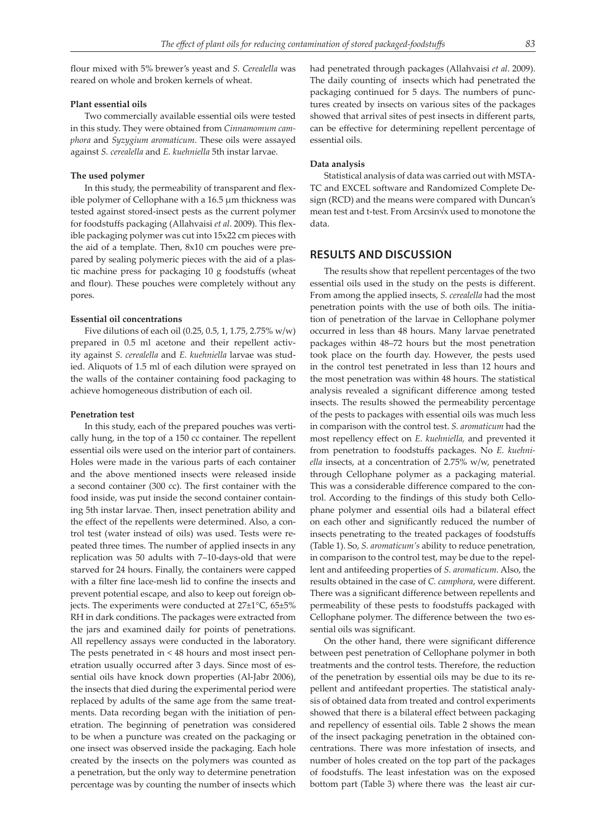flour mixed with 5% brewer's yeast and *S. Cerealella* was reared on whole and broken kernels of wheat.

### **Plant essential oils**

Two commercially available essential oils were tested in this study. They were obtained from *Cinnamomum camphora* and *Syzygium aromaticum*. These oils were assayed against *S. cerealella* and *E. kuehniella* 5th instar larvae.

#### **The used polymer**

In this study, the permeability of transparent and flexible polymer of Cellophane with a 16.5 µm thickness was tested against stored-insect pests as the current polymer for foodstuffs packaging (Allahvaisi *et al*. 2009). This flexible packaging polymer was cut into 15x22 cm pieces with the aid of a template. Then, 8x10 cm pouches were prepared by sealing polymeric pieces with the aid of a plastic machine press for packaging 10 g foodstuffs (wheat and flour). These pouches were completely without any pores.

### **Essential oil concentrations**

Five dilutions of each oil (0.25, 0.5, 1, 1.75, 2.75% w/w) prepared in 0.5 ml acetone and their repellent activity against *S. cerealella* and *E. kuehniella* larvae was studied. Aliquots of 1.5 ml of each dilution were sprayed on the walls of the container containing food packaging to achieve homogeneous distribution of each oil.

#### **Penetration test**

In this study, each of the prepared pouches was vertically hung, in the top of a 150 cc container. The repellent essential oils were used on the interior part of containers. Holes were made in the various parts of each container and the above mentioned insects were released inside a second container (300 cc). The first container with the food inside, was put inside the second container containing 5th instar larvae. Then, insect penetration ability and the effect of the repellents were determined. Also, a control test (water instead of oils) was used. Tests were repeated three times. The number of applied insects in any replication was 50 adults with 7–10-days-old that were starved for 24 hours. Finally, the containers were capped with a filter fine lace-mesh lid to confine the insects and prevent potential escape, and also to keep out foreign objects. The experiments were conducted at  $27\pm1\degree$ C,  $65\pm5\%$ RH in dark conditions. The packages were extracted from the jars and examined daily for points of penetrations. All repellency assays were conducted in the laboratory. The pests penetrated in < 48 hours and most insect penetration usually occurred after 3 days. Since most of essential oils have knock down properties (Al-Jabr 2006), the insects that died during the experimental period were replaced by adults of the same age from the same treatments. Data recording began with the initiation of penetration. The beginning of penetration was considered to be when a puncture was created on the packaging or one insect was observed inside the packaging. Each hole created by the insects on the polymers was counted as a penetration, but the only way to determine penetration percentage was by counting the number of insects which had penetrated through packages (Allahvaisi *et al*. 2009). The daily counting of insects which had penetrated the packaging continued for 5 days. The numbers of punctures created by insects on various sites of the packages showed that arrival sites of pest insects in different parts, can be effective for determining repellent percentage of essential oils.

#### **Data analysis**

Statistical analysis of data was carried out with MSTA-TC and EXCEL software and Randomized Complete Design (RCD) and the means were compared with Duncan's mean test and t-test. From Arcsin√x used to monotone the data.

### **RESULTS AND DISCUSSION**

The results show that repellent percentages of the two essential oils used in the study on the pests is different. From among the applied insects, *S. cerealella* had the most penetration points with the use of both oils. The initiation of penetration of the larvae in Cellophane polymer occurred in less than 48 hours. Many larvae penetrated packages within 48–72 hours but the most penetration took place on the fourth day. However, the pests used in the control test penetrated in less than 12 hours and the most penetration was within 48 hours. The statistical analysis revealed a significant difference among tested insects. The results showed the permeability percentage of the pests to packages with essential oils was much less in comparison with the control test. *S. aromaticum* had the most repellency effect on *E. kuehniella,* and prevented it from penetration to foodstuffs packages. No *E. kuehniella* insects, at a concentration of 2.75% w/w, penetrated through Cellophane polymer as a packaging material. This was a considerable difference compared to the control. According to the findings of this study both Cellophane polymer and essential oils had a bilateral effect on each other and significantly reduced the number of insects penetrating to the treated packages of foodstuffs (Table 1). So, *S. aromaticum's* ability to reduce penetration, in comparison to the control test, may be due to the repellent and antifeeding properties of *S. aromaticum.* Also, the results obtained in the case of *C. camphora*, were different. There was a significant difference between repellents and permeability of these pests to foodstuffs packaged with Cellophane polymer. The difference between the two essential oils was significant.

On the other hand, there were significant difference between pest penetration of Cellophane polymer in both treatments and the control tests. Therefore, the reduction of the penetration by essential oils may be due to its repellent and antifeedant properties. The statistical analysis of obtained data from treated and control experiments showed that there is a bilateral effect between packaging and repellency of essential oils. Table 2 shows the mean of the insect packaging penetration in the obtained concentrations. There was more infestation of insects, and number of holes created on the top part of the packages of foodstuffs. The least infestation was on the exposed bottom part (Table 3) where there was the least air cur-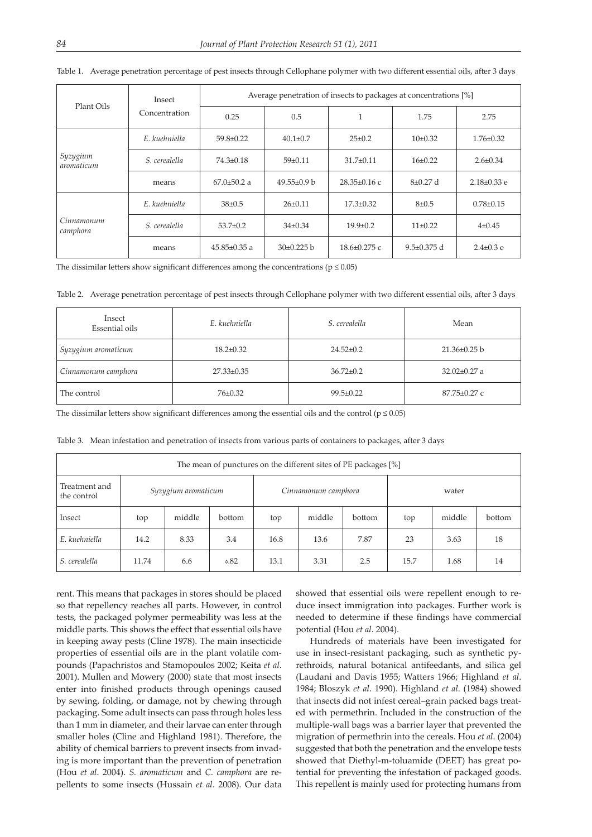| Plant Oils             | Insect<br>Concentration | Average penetration of insects to packages at concentrations [%] |                   |                               |                   |                   |  |  |
|------------------------|-------------------------|------------------------------------------------------------------|-------------------|-------------------------------|-------------------|-------------------|--|--|
|                        |                         | 0.25                                                             | 0.5               | и                             | 1.75              | 2.75              |  |  |
| Syzygium<br>aromaticum | E. kuehniella           | $59.8 \pm 0.22$                                                  | $40.1 \pm 0.7$    | $25 \pm 0.2$                  | $10\pm0.32$       | $1.76 \pm 0.32$   |  |  |
|                        | S. cerealella           | $74.3 \pm 0.18$                                                  | $59 \pm 0.11$     | $31.7 \pm 0.11$               | $16\pm0.22$       | $2.6 \pm 0.34$    |  |  |
|                        | means                   | $67.0 \pm 50.2$ a                                                | $49.55 \pm 0.9$ b | $28.35\pm0.16$ c              | $8\pm0.27$ d      | $2.18 \pm 0.33$ e |  |  |
| Cinnamonum<br>camphora | E. kuehniella           | $38\pm0.5$                                                       | $26 \pm 0.11$     | $17.3 \pm 0.32$               | $8 + 0.5$         | $0.78 \pm 0.15$   |  |  |
|                        | S. cerealella           | $53.7 \pm 0.2$                                                   | $34\pm0.34$       | $19.9 \pm 0.2$<br>$11\pm0.22$ |                   | $4\pm 0.45$       |  |  |
|                        | means                   | $45.85 \pm 0.35$ a                                               | $30\pm0.225$ b    | $18.6 \pm 0.275$ c            | $9.5 \pm 0.375$ d | $2.4 \pm 0.3$ e   |  |  |

Table 1. Average penetration percentage of pest insects through Cellophane polymer with two different essential oils, after 3 days

The dissimilar letters show significant differences among the concentrations ( $p \le 0.05$ )

Table 2. Average penetration percentage of pest insects through Cellophane polymer with two different essential oils, after 3 days

| Insect<br>Essential oils | E. kuehniella    | S. cerealella   | Mean               |  |
|--------------------------|------------------|-----------------|--------------------|--|
| Syzygium aromaticum      | $18.2 \pm 0.32$  | $24.52 \pm 0.2$ | $21.36 \pm 0.25$ b |  |
| Cinnamonum camphora      | $27.33 \pm 0.35$ | $36.72 \pm 0.2$ | $32.02 \pm 0.27$ a |  |
| The control              | $76 \pm 0.32$    | $99.5 \pm 0.22$ | $87.75 \pm 0.27$ c |  |

The dissimilar letters show significant differences among the essential oils and the control ( $p \le 0.05$ )

| The mean of punctures on the different sites of PE packages [%] |                     |        |        |                     |        |        |       |        |        |
|-----------------------------------------------------------------|---------------------|--------|--------|---------------------|--------|--------|-------|--------|--------|
| Treatment and<br>the control                                    | Syzygium aromaticum |        |        | Cinnamonum camphora |        |        | water |        |        |
| Insect                                                          | top                 | middle | bottom | top                 | middle | bottom | top   | middle | bottom |
| E. kuehniella                                                   | 14.2                | 8.33   | 3.4    | 16.8                | 13.6   | 7.87   | 23    | 3.63   | 18     |
| S. cerealella                                                   | 11.74               | 6.6    | 0.82   | 13.1                | 3.31   | 2.5    | 15.7  | 1.68   | 14     |

Table 3. Mean infestation and penetration of insects from various parts of containers to packages, after 3 days

rent. This means that packages in stores should be placed so that repellency reaches all parts. However, in control tests, the packaged polymer permeability was less at the middle parts. This shows the effect that essential oils have in keeping away pests (Cline 1978). The main insecticide properties of essential oils are in the plant volatile compounds (Papachristos and Stamopoulos 2002; Keita *et al.*  2001). Mullen and Mowery (2000) state that most insects enter into finished products through openings caused by sewing, folding, or damage, not by chewing through packaging. Some adult insects can pass through holes less than 1 mm in diameter, and their larvae can enter through smaller holes (Cline and Highland 1981). Therefore, the ability of chemical barriers to prevent insects from invading is more important than the prevention of penetration (Hou *et al*. 2004). *S. aromaticum* and *C. camphora* are repellents to some insects (Hussain *et al*. 2008). Our data

showed that essential oils were repellent enough to reduce insect immigration into packages. Further work is needed to determine if these findings have commercial potential (Hou *et al*. 2004).

Hundreds of materials have been investigated for use in insect-resistant packaging, such as synthetic pyrethroids, natural botanical antifeedants, and silica gel (Laudani and Davis 1955; Watters 1966; Highland *et al*. 1984; Bloszyk *et al*. 1990). Highland *et al*. (1984) showed that insects did not infest cereal–grain packed bags treated with permethrin. Included in the construction of the multiple-wall bags was a barrier layer that prevented the migration of permethrin into the cereals. Hou *et al*. (2004) suggested that both the penetration and the envelope tests showed that Diethyl-m-toluamide (DEET) has great potential for preventing the infestation of packaged goods. This repellent is mainly used for protecting humans from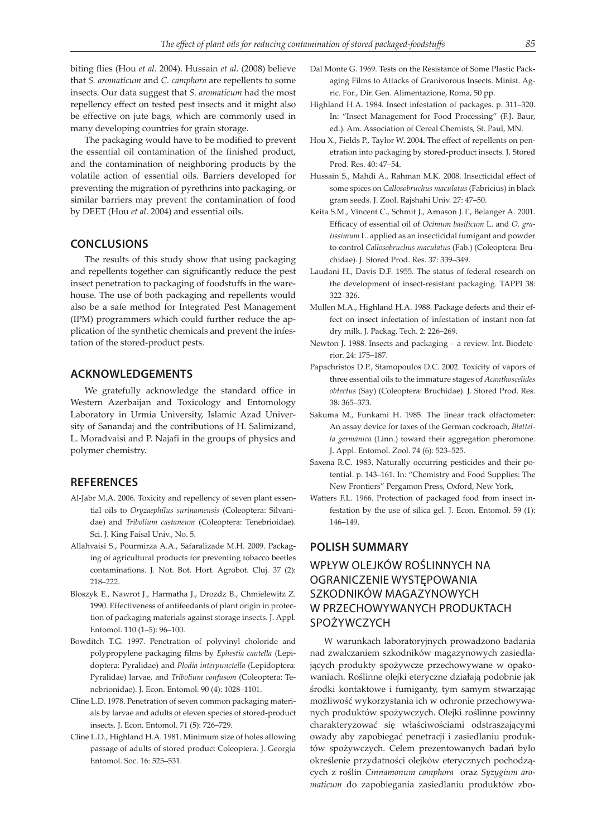biting flies (Hou *et al*. 2004). Hussain *et al*. (2008) believe that *S. aromaticum* and *C. camphora* are repellents to some insects. Our data suggest that *S. aromaticum* had the most repellency effect on tested pest insects and it might also be effective on jute bags, which are commonly used in many developing countries for grain storage.

The packaging would have to be modified to prevent the essential oil contamination of the finished product, and the contamination of neighboring products by the volatile action of essential oils. Barriers developed for preventing the migration of pyrethrins into packaging, or similar barriers may prevent the contamination of food by DEET (Hou *et al*. 2004) and essential oils.

### **CONCLUSIONS**

The results of this study show that using packaging and repellents together can significantly reduce the pest insect penetration to packaging of foodstuffs in the warehouse. The use of both packaging and repellents would also be a safe method for Integrated Pest Management (IPM) programmers which could further reduce the application of the synthetic chemicals and prevent the infestation of the stored-product pests.

# **ACKNOWLEDGEMENTS**

We gratefully acknowledge the standard office in Western Azerbaijan and Toxicology and Entomology Laboratory in Urmia University, Islamic Azad University of Sanandaj and the contributions of H. Salimizand, L. Moradvaisi and P. Najafi in the groups of physics and polymer chemistry.

# **REFERENCES**

- Al-Jabr M.A. 2006. Toxicity and repellency of seven plant essential oils to *Oryzaephilus surinamensis* (Coleoptera: Silvanidae) and *Tribolium castaneum* (Coleoptera: Tenebrioidae). Sci. J. King Faisal Univ., No. 5.
- Allahvaisi S., Pourmirza A.A., Safaralizade M.H. 2009. Packaging of agricultural products for preventing tobacco beetles contaminations. J. Not. Bot. Hort. Agrobot. Cluj. 37 (2): 218–222.
- Bloszyk E., Nawrot J., Harmatha J., Drozdz B., Chmielewitz Z. 1990. Effectiveness of antifeedants of plant origin in protection of packaging materials against storage insects. J. Appl. Entomol. 110 (1–5): 96–100.
- Bowditch T.G. 1997. Penetration of polyvinyl choloride and polypropylene packaging films by *Ephestia cautella* (Lepidoptera: Pyralidae) and *Plodia interpunctella* (Lepidoptera: Pyralidae) larvae, and *Tribolium confusom* (Coleoptera: Tenebrionidae). J. Econ. Entomol. 90 (4): 1028–1101.
- Cline L.D. 1978. Penetration of seven common packaging materials by larvae and adults of eleven species of stored-product insects. J. Econ. Entomol. 71 (5): 726–729.
- Cline L.D., Highland H.A. 1981. Minimum size of holes allowing passage of adults of stored product Coleoptera. J. Georgia Entomol. Soc. 16: 525–531.
- Dal Monte G. 1969. Tests on the Resistance of Some Plastic Packaging Films to Attacks of Granivorous Insects. Minist. Agric. For., Dir. Gen. Alimentazione, Roma, 50 pp.
- Highland H.A. 1984. Insect infestation of packages. p. 311–320. In: "Insect Management for Food Processing" (F.J. Baur, ed.). Am. Association of Cereal Chemists, St. Paul, MN.
- Hou X., Fields P., Taylor W. 2004**.** The effect of repellents on penetration into packaging by stored-product insects. J. Stored Prod. Res. 40: 47–54.
- Hussain S., Mahdi A., Rahman M.K. 2008. Insecticidal effect of some spices on *Callosobruchus maculatus* (Fabricius) in black gram seeds. J. Zool. Rajshahi Univ. 27: 47–50.
- Keita S.M., Vincent C., Schmit J., Arnason J.T., Belanger A. 2001. Efficacy of essential oil of *Ocimum basilicum* L. and *O. gratissimum* L. applied as an insecticidal fumigant and powder to control *Callosobruchus maculatus* (Fab.) (Coleoptera: Bruchidae). J. Stored Prod. Res. 37: 339–349.
- Laudani H., Davis D.F. 1955. The status of federal research on the development of insect-resistant packaging. TAPPI 38: 322–326.
- Mullen M.A., Highland H.A. 1988. Package defects and their effect on insect infectation of infestation of instant non-fat dry milk. J. Packag. Tech. 2: 226–269.
- Newton J. 1988. Insects and packaging a review. Int. Biodeterior. 24: 175–187.
- Papachristos D.P., Stamopoulos D.C. 2002. Toxicity of vapors of three essential oils to the immature stages of *Acanthoscelides obtectus* (Say) (Coleoptera: Bruchidae). J. Stored Prod. Res. 38: 365–373.
- Sakuma M., Funkami H. 1985. The linear track olfactometer: An assay device for taxes of the German cockroach, *Blattella germanica* (Linn.) toward their aggregation pheromone. J. Appl. Entomol. Zool. 74 (6): 523–525.
- Saxena R.C. 1983. Naturally occurring pesticides and their potential. p. 143–161. In: "Chemistry and Food Supplies: The New Frontiers" Pergamon Press, Oxford, New York,
- Watters F.L. 1966. Protection of packaged food from insect infestation by the use of silica gel. J. Econ. Entomol. 59 (1): 146–149.

### **POLISH SUMMARY**

# WPŁYW OLEJKÓW ROŚLINNYCH NA OGRANICZENIE WYSTĘPOWANIA SZKODNIKÓW MAGAZYNOWYCH W PRZECHOWYWANYCH PRODUKTACH SPOŻYWCZYCH

W warunkach laboratoryjnych prowadzono badania nad zwalczaniem szkodników magazynowych zasiedlających produkty spożywcze przechowywane w opakowaniach. Roślinne olejki eteryczne działają podobnie jak środki kontaktowe i fumiganty, tym samym stwarzając możliwość wykorzystania ich w ochronie przechowywanych produktów spożywczych. Olejki roślinne powinny charakteryzować się właściwościami odstraszającymi owady aby zapobiegać penetracji i zasiedlaniu produktów spożywczych. Celem prezentowanych badań było określenie przydatności olejków eterycznych pochodzących z roślin *Cinnamonum camphora* oraz *Syzygium aromaticum* do zapobiegania zasiedlaniu produktów zbo